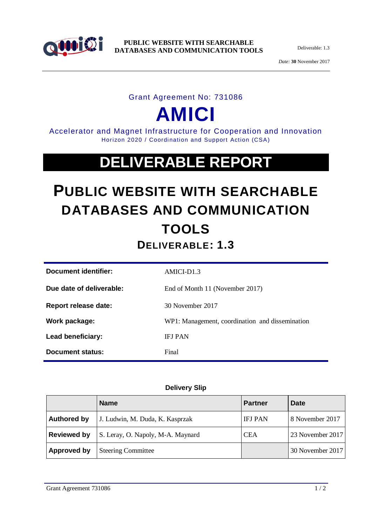

**PUBLIC WEBSITE WITH SEARCHABLE DATABASES AND COMMUNICATION TOOLS**

Deliverable: 1.3

*Date:* **30** November 2017

#### Grant Agreement No: 731086

# **AMICI**

Accelerator and Magnet Infrastructure for Cooperation and Innovation Horizon 2020 / Coordination and Support Action (CSA)

## **DELIVERABLE REPORT**

### **PUBLIC WEBSITE WITH SEARCHABLE DATABASES AND COMMUNICATION TOOLS DELIVERABLE: 1.3**

| Document identifier:     | AMICI-D1.3                                      |
|--------------------------|-------------------------------------------------|
| Due date of deliverable: | End of Month 11 (November 2017)                 |
| Report release date:     | 30 November 2017                                |
| Work package:            | WP1: Management, coordination and dissemination |
| Lead beneficiary:        | <b>IFJ PAN</b>                                  |
| Document status:         | Final                                           |

#### **Delivery Slip**

|                    | <b>Name</b>                       | <b>Partner</b> | <b>Date</b>      |
|--------------------|-----------------------------------|----------------|------------------|
| <b>Authored by</b> | J. Ludwin, M. Duda, K. Kasprzak   | <b>IFJ PAN</b> | 8 November 2017  |
| <b>Reviewed by</b> | S. Leray, O. Napoly, M-A. Maynard | <b>CEA</b>     | 23 November 2017 |
| <b>Approved by</b> | <b>Steering Committee</b>         |                | 30 November 2017 |